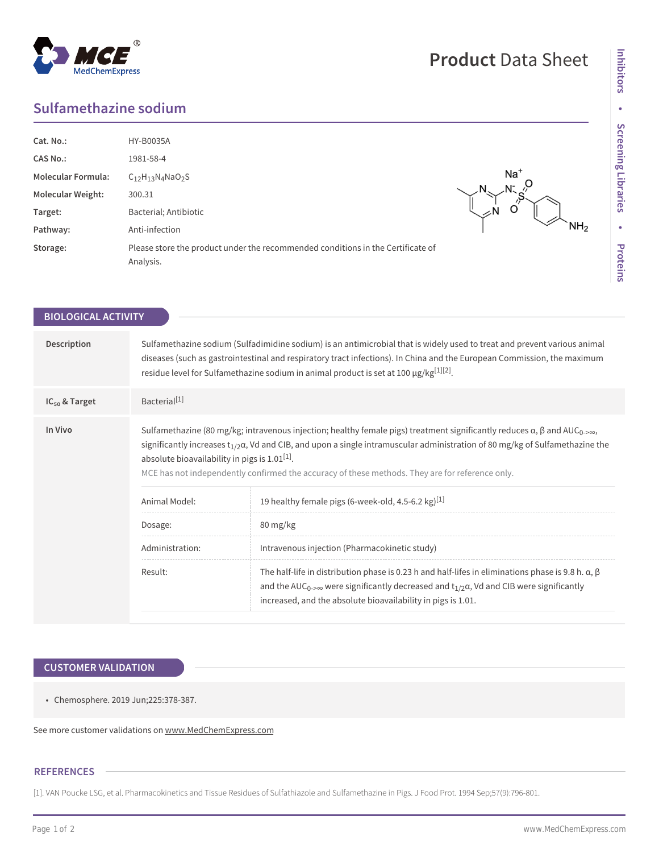## **Sulfamethazine sodium**

**MedChemExpress** 

| Cat. No.:                 | <b>HY-B0035A</b>                                                                             |                 |
|---------------------------|----------------------------------------------------------------------------------------------|-----------------|
| <b>CAS No.:</b>           | 1981-58-4                                                                                    |                 |
| <b>Molecular Formula:</b> | $C_{12}H_{13}N_4NaO_2S$                                                                      | $Na+$           |
| <b>Molecular Weight:</b>  | 300.31                                                                                       | N.              |
| Target:                   | Bacterial; Antibiotic                                                                        | ∠N              |
| Pathway:                  | Anti-infection                                                                               | NH <sub>2</sub> |
| Storage:                  | Please store the product under the recommended conditions in the Certificate of<br>Analysis. |                 |

| <b>BIOLOGICAL ACTIVITY</b> |                                                                                                                                                                                                                                                                                                                                                                                                                                                          |                                                                                                                                                                                                                                                                                                  |  |
|----------------------------|----------------------------------------------------------------------------------------------------------------------------------------------------------------------------------------------------------------------------------------------------------------------------------------------------------------------------------------------------------------------------------------------------------------------------------------------------------|--------------------------------------------------------------------------------------------------------------------------------------------------------------------------------------------------------------------------------------------------------------------------------------------------|--|
| Description                | Sulfamethazine sodium (Sulfadimidine sodium) is an antimicrobial that is widely used to treat and prevent various animal<br>diseases (such as gastrointestinal and respiratory tract infections). In China and the European Commission, the maximum<br>residue level for Sulfamethazine sodium in animal product is set at 100 $\mu$ g/kg <sup>[1][2]</sup> .                                                                                            |                                                                                                                                                                                                                                                                                                  |  |
| $IC_{50}$ & Target         | Bacterial <sup>[1]</sup>                                                                                                                                                                                                                                                                                                                                                                                                                                 |                                                                                                                                                                                                                                                                                                  |  |
| In Vivo                    | Sulfamethazine (80 mg/kg; intravenous injection; healthy female pigs) treatment significantly reduces $\alpha$ , $\beta$ and AUC <sub>0-2</sub> $\infty$ ,<br>significantly increases $t_{1/2}a$ , Vd and CIB, and upon a single intramuscular administration of 80 mg/kg of Sulfamethazine the<br>absolute bioavailability in pigs is $1.01^{[1]}$ .<br>MCE has not independently confirmed the accuracy of these methods. They are for reference only. |                                                                                                                                                                                                                                                                                                  |  |
|                            | Animal Model:                                                                                                                                                                                                                                                                                                                                                                                                                                            | 19 healthy female pigs (6-week-old, 4.5-6.2 kg) <sup>[1]</sup>                                                                                                                                                                                                                                   |  |
|                            | Dosage:                                                                                                                                                                                                                                                                                                                                                                                                                                                  | 80 mg/kg                                                                                                                                                                                                                                                                                         |  |
|                            | Administration:                                                                                                                                                                                                                                                                                                                                                                                                                                          | Intravenous injection (Pharmacokinetic study)                                                                                                                                                                                                                                                    |  |
|                            | Result:                                                                                                                                                                                                                                                                                                                                                                                                                                                  | The half-life in distribution phase is 0.23 h and half-lifes in eliminations phase is 9.8 h. $\alpha$ , $\beta$<br>and the AUC <sub>0-</sub> were significantly decreased and $t_{1/2}$ $\alpha$ , Vd and CIB were significantly<br>increased, and the absolute bioavailability in pigs is 1.01. |  |
|                            |                                                                                                                                                                                                                                                                                                                                                                                                                                                          |                                                                                                                                                                                                                                                                                                  |  |

## **CUSTOMER VALIDATION**

• Chemosphere. 2019 Jun;225:378-387.

See more customer validations on<www.MedChemExpress.com>

## **REFERENCES**

[1]. VAN Poucke LSG, et al. Pharmacokinetics and Tissue Residues of Sulfathiazole and Sulfamethazine in Pigs. J Food Prot. 1994 Sep;57(9):796-801.